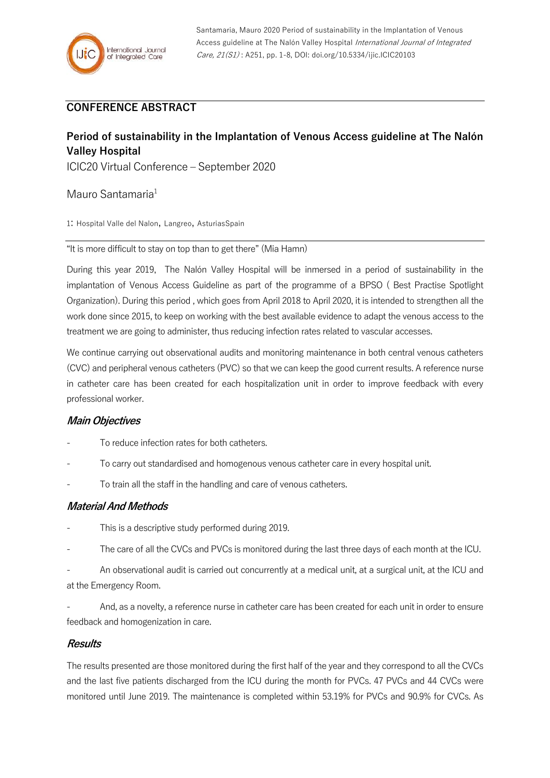# **CONFERENCE ABSTRACT**

# **Period of sustainability in the Implantation of Venous Access guideline at The Nalón Valley Hospital**

ICIC20 Virtual Conference – September 2020

Mauro Santamaria<sup>1</sup>

1: Hospital Valle del Nalon, Langreo, AsturiasSpain

"It is more difficult to stay on top than to get there" (Mia Hamn)

During this year 2019, The Nalón Valley Hospital will be inmersed in a period of sustainability in the implantation of Venous Access Guideline as part of the programme of a BPSO ( Best Practise Spotlight Organization). During this period , which goes from April 2018 to April 2020, it is intended to strengthen all the work done since 2015, to keep on working with the best available evidence to adapt the venous access to the treatment we are going to administer, thus reducing infection rates related to vascular accesses.

We continue carrying out observational audits and monitoring maintenance in both central venous catheters (CVC) and peripheral venous catheters (PVC) so that we can keep the good current results. A reference nurse in catheter care has been created for each hospitalization unit in order to improve feedback with every professional worker.

### **Main Objectives**

- To reduce infection rates for both catheters.
- To carry out standardised and homogenous venous catheter care in every hospital unit.
- To train all the staff in the handling and care of venous catheters.

### **Material And Methods**

- This is a descriptive study performed during 2019.
- The care of all the CVCs and PVCs is monitored during the last three days of each month at the ICU.

An observational audit is carried out concurrently at a medical unit, at a surgical unit, at the ICU and at the Emergency Room.

And, as a novelty, a reference nurse in catheter care has been created for each unit in order to ensure feedback and homogenization in care.

#### **Results**

The results presented are those monitored during the first half of the year and they correspond to all the CVCs and the last five patients discharged from the ICU during the month for PVCs. 47 PVCs and 44 CVCs were monitored until June 2019. The maintenance is completed within 53.19% for PVCs and 90.9% for CVCs. As